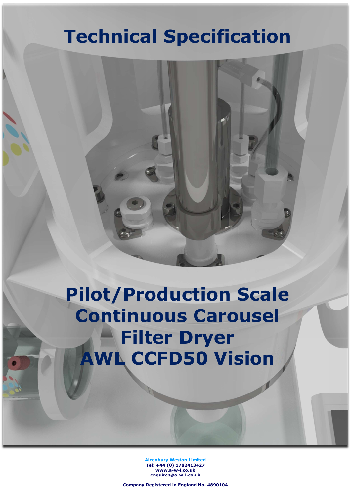# Technical Specification

# Pilot/Production Scale Continuous Carousel **Filter Dryer** AWL CCFD50 Vision

Alconbury Weston Limited Tel: +44 (0) 1782413427 www.a-w-l.co.uk enquires@a-w-l.co.uk

Company Registered in England No. 4890104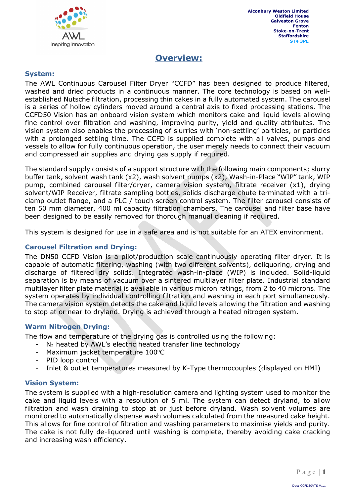

### Overview:

### System:

The AWL Continuous Carousel Filter Dryer "CCFD" has been designed to produce filtered, washed and dried products in a continuous manner. The core technology is based on wellestablished Nutsche filtration, processing thin cakes in a fully automated system. The carousel is a series of hollow cylinders moved around a central axis to fixed processing stations. The CCFD50 Vision has an onboard vision system which monitors cake and liquid levels allowing fine control over filtration and washing, improving purity, yield and quality attributes. The vision system also enables the processing of slurries with 'non-settling' particles, or particles with a prolonged settling time. The CCFD is supplied complete with all valves, pumps and vessels to allow for fully continuous operation, the user merely needs to connect their vacuum and compressed air supplies and drying gas supply if required.

The standard supply consists of a support structure with the following main components; slurry buffer tank, solvent wash tank (x2), wash solvent pumps (x2), Wash-in-Place "WIP" tank, WIP pump, combined carousel filter/dryer, camera vision system, filtrate receiver (x1), drying solvent/WIP Receiver, filtrate sampling bottles, solids discharge chute terminated with a triclamp outlet flange, and a PLC / touch screen control system. The filter carousel consists of ten 50 mm diameter, 400 ml capacity filtration chambers. The carousel and filter base have been designed to be easily removed for thorough manual cleaning if required.

This system is designed for use in a safe area and is not suitable for an ATEX environment.

### Carousel Filtration and Drying:

The DN50 CCFD Vision is a pilot/production scale continuously operating filter dryer. It is capable of automatic filtering, washing (with two different solvents), deliquoring, drying and discharge of filtered dry solids. Integrated wash-in-place (WIP) is included. Solid-liquid separation is by means of vacuum over a sintered multilayer filter plate. Industrial standard multilayer filter plate material is available in various micron ratings, from 2 to 40 microns. The system operates by individual controlling filtration and washing in each port simultaneously. The camera vision system detects the cake and liquid levels allowing the filtration and washing to stop at or near to dryland. Drying is achieved through a heated nitrogen system.

### Warm Nitrogen Drying:

The flow and temperature of the drying gas is controlled using the following:

- $N_2$  heated by AWL's electric heated transfer line technology
- Maximum jacket temperature 100°C
- PID loop control
- Inlet & outlet temperatures measured by K-Type thermocouples (displayed on HMI)

### Vision System:

The system is supplied with a high-resolution camera and lighting system used to monitor the cake and liquid levels with a resolution of 5 ml. The system can detect dryland, to allow filtration and wash draining to stop at or just before dryland. Wash solvent volumes are monitored to automatically dispense wash volumes calculated from the measured cake height. This allows for fine control of filtration and washing parameters to maximise yields and purity. The cake is not fully de-liquored until washing is complete, thereby avoiding cake cracking and increasing wash efficiency.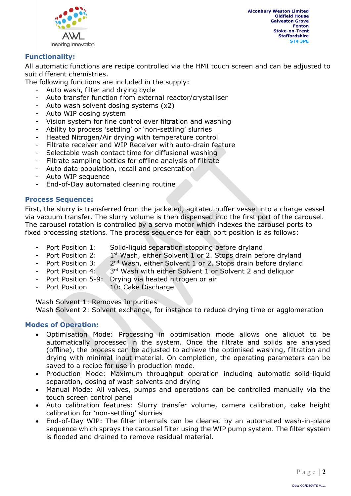

### Functionality:

All automatic functions are recipe controlled via the HMI touch screen and can be adjusted to suit different chemistries.

The following functions are included in the supply:

- Auto wash, filter and drying cycle
- Auto transfer function from external reactor/crystalliser
- Auto wash solvent dosing systems  $(x2)$
- Auto WIP dosing system
- Vision system for fine control over filtration and washing
- Ability to process 'settling' or 'non-settling' slurries
- Heated Nitrogen/Air drying with temperature control
- Filtrate receiver and WIP Receiver with auto-drain feature
- Selectable wash contact time for diffusional washing
- Filtrate sampling bottles for offline analysis of filtrate
- Auto data population, recall and presentation
- Auto WIP sequence
- End-of-Day automated cleaning routine

### Process Sequence:

First, the slurry is transferred from the jacketed, agitated buffer vessel into a charge vessel via vacuum transfer. The slurry volume is then dispensed into the first port of the carousel. The carousel rotation is controlled by a servo motor which indexes the carousel ports to fixed processing stations. The process sequence for each port position is as follows:

- Port Position 1: Solid-liquid separation stopping before dryland
- Port Position 2: 1<sup>st</sup> Wash, either Solvent 1 or 2. Stops drain before dryland
- Port Position 3: 2<sup>nd</sup> Wash, either Solvent 1 or 2. Stops drain before dryland
- Port Position 4: 3<sup>rd</sup> Wash with either Solvent 1 or Solvent 2 and deliquor
- Port Position 5-9: Drying via heated nitrogen or air
- Port Position 10: Cake Discharge

Wash Solvent 1: Removes Impurities Wash Solvent 2: Solvent exchange, for instance to reduce drying time or agglomeration

### Modes of Operation:

- Optimisation Mode: Processing in optimisation mode allows one aliquot to be automatically processed in the system. Once the filtrate and solids are analysed (offline), the process can be adjusted to achieve the optimised washing, filtration and drying with minimal input material. On completion, the operating parameters can be saved to a recipe for use in production mode.
- Production Mode: Maximum throughput operation including automatic solid-liquid separation, dosing of wash solvents and drying
- Manual Mode: All valves, pumps and operations can be controlled manually via the touch screen control panel
- Auto calibration features: Slurry transfer volume, camera calibration, cake height calibration for 'non-settling' slurries
- End-of-Day WIP: The filter internals can be cleaned by an automated wash-in-place sequence which sprays the carousel filter using the WIP pump system. The filter system is flooded and drained to remove residual material.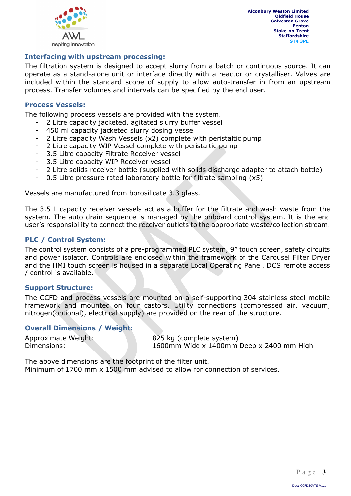

### Interfacing with upstream processing:

The filtration system is designed to accept slurry from a batch or continuous source. It can operate as a stand-alone unit or interface directly with a reactor or crystalliser. Valves are included within the standard scope of supply to allow auto-transfer in from an upstream process. Transfer volumes and intervals can be specified by the end user.

#### Process Vessels:

The following process vessels are provided with the system.

- 2 Litre capacity jacketed, agitated slurry buffer vessel
- 450 ml capacity jacketed slurry dosing vessel
- 2 Litre capacity Wash Vessels (x2) complete with peristaltic pump
- 2 Litre capacity WIP Vessel complete with peristaltic pump
- 3.5 Litre capacity Filtrate Receiver vessel
- 3.5 Litre capacity WIP Receiver vessel
- 2 Litre solids receiver bottle (supplied with solids discharge adapter to attach bottle)
- 0.5 Litre pressure rated laboratory bottle for filtrate sampling (x5)

Vessels are manufactured from borosilicate 3.3 glass.

The 3.5 L capacity receiver vessels act as a buffer for the filtrate and wash waste from the system. The auto drain sequence is managed by the onboard control system. It is the end user's responsibility to connect the receiver outlets to the appropriate waste/collection stream.

### PLC / Control System:

The control system consists of a pre-programmed PLC system, 9" touch screen, safety circuits and power isolator. Controls are enclosed within the framework of the Carousel Filter Dryer and the HMI touch screen is housed in a separate Local Operating Panel. DCS remote access / control is available.

#### Support Structure:

The CCFD and process vessels are mounted on a self-supporting 304 stainless steel mobile framework and mounted on four castors. Utility connections (compressed air, vacuum, nitrogen(optional), electrical supply) are provided on the rear of the structure.

#### Overall Dimensions / Weight:

| Approximate Weight: |  |
|---------------------|--|
| Dimensions:         |  |

825 kg (complete system)  $1600$ mm Wide x  $1400$ mm Deep x 2400 mm High

The above dimensions are the footprint of the filter unit. Minimum of 1700 mm x 1500 mm advised to allow for connection of services.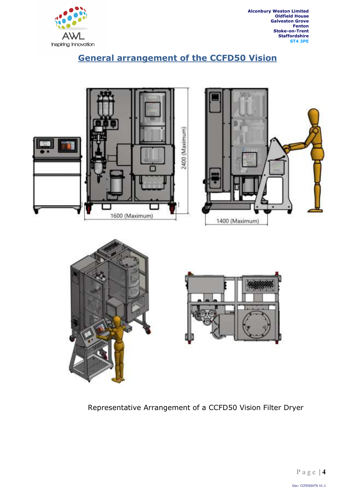

# General arrangement of the CCFD50 Vision







Representative Arrangement of a CCFD50 Vision Filter Dryer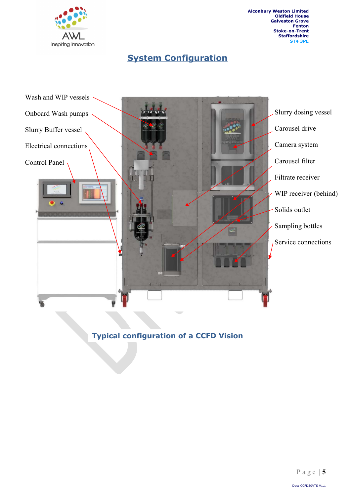

# **System Configuration**



### Typical configuration of a CCFD Vision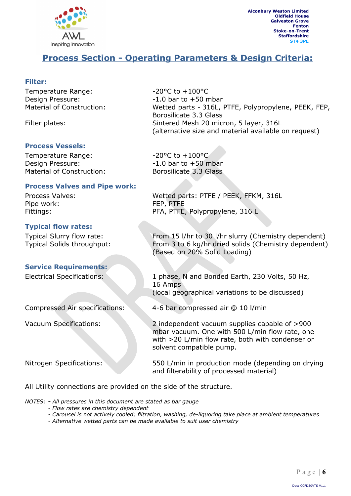

### Process Section - Operating Parameters & Design Criteria:

### Filter:

Temperature Range:  $-20^{\circ}$ C to +100°C Design Pressure:  $-1.0$  bar to +50 mbar

### Process Vessels:

Temperature Range:  $-20^{\circ}$ C to  $+100^{\circ}$ C Design Pressure:  $-1.0$  bar to +50 mbar Material of Construction: Borosilicate 3.3 Glass

### Process Valves and Pipe work:

Pipe work: FEP, PTFE

### Typical flow rates:

#### Service Requirements:

Material of Construction: Wetted parts - 316L, PTFE, Polypropylene, PEEK, FEP, Borosilicate 3.3 Glass Filter plates: Sintered Mesh 20 micron, 5 layer, 316L (alternative size and material available on request)

Process Valves: Wetted parts: PTFE / PEEK, FFKM, 316L Fittings: PFA, PTFE, Polypropylene, 316 L

Typical Slurry flow rate: From 15 l/hr to 30 l/hr slurry (Chemistry dependent) Typical Solids throughput: From 3 to 6 kg/hr dried solids (Chemistry dependent) (Based on 20% Solid Loading)

Electrical Specifications: 1 phase, N and Bonded Earth, 230 Volts, 50 Hz, 16 Amps (local geographical variations to be discussed)

Compressed Air specifications: 4-6 bar compressed air @ 10 l/min

Vacuum Specifications: 2 independent vacuum supplies capable of >900 mbar vacuum. One with 500 L/min flow rate, one with >20 L/min flow rate, both with condenser or solvent compatible pump.

Nitrogen Specifications: 550 L/min in production mode (depending on drying and filterability of processed material)

All Utility connections are provided on the side of the structure.

NOTES: - All pressures in this document are stated as bar gauge

- Flow rates are chemistry dependent
- Carousel is not actively cooled; filtration, washing, de-liquoring take place at ambient temperatures
- Alternative wetted parts can be made available to suit user chemistry